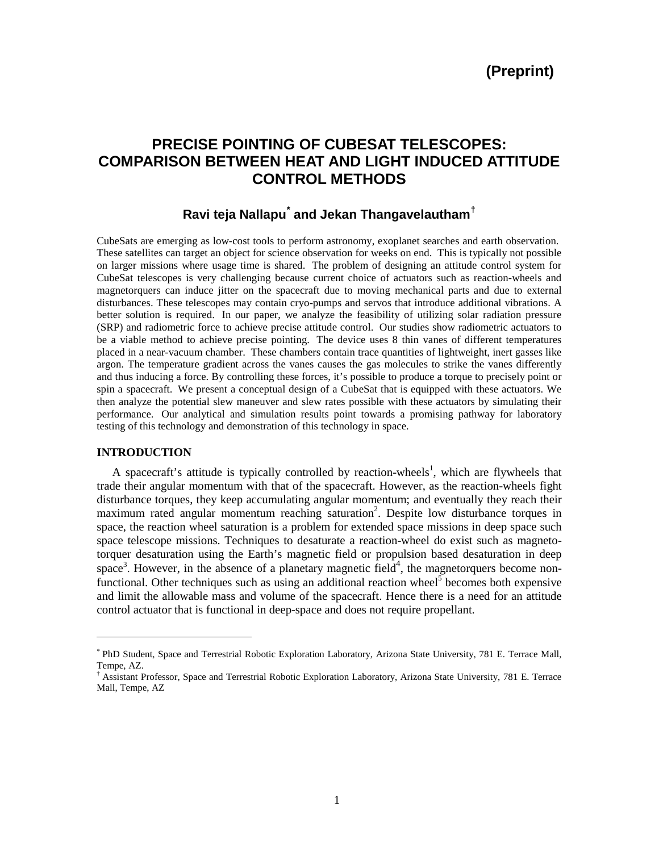# **PRECISE POINTING OF CUBESAT TELESCOPES: COMPARISON BETWEEN HEAT AND LIGHT INDUCED ATTITUDE CONTROL METHODS**

## **Ravi teja Nallapu[\\*](#page-0-0) and Jekan Thangavelautham[†](#page-0-1)**

CubeSats are emerging as low-cost tools to perform astronomy, exoplanet searches and earth observation. These satellites can target an object for science observation for weeks on end. This is typically not possible on larger missions where usage time is shared. The problem of designing an attitude control system for CubeSat telescopes is very challenging because current choice of actuators such as reaction-wheels and magnetorquers can induce jitter on the spacecraft due to moving mechanical parts and due to external disturbances. These telescopes may contain cryo-pumps and servos that introduce additional vibrations. A better solution is required. In our paper, we analyze the feasibility of utilizing solar radiation pressure (SRP) and radiometric force to achieve precise attitude control. Our studies show radiometric actuators to be a viable method to achieve precise pointing. The device uses 8 thin vanes of different temperatures placed in a near-vacuum chamber. These chambers contain trace quantities of lightweight, inert gasses like argon. The temperature gradient across the vanes causes the gas molecules to strike the vanes differently and thus inducing a force. By controlling these forces, it's possible to produce a torque to precisely point or spin a spacecraft. We present a conceptual design of a CubeSat that is equipped with these actuators. We then analyze the potential slew maneuver and slew rates possible with these actuators by simulating their performance. Our analytical and simulation results point towards a promising pathway for laboratory testing of this technology and demonstration of this technology in space.

## **INTRODUCTION**

 $\overline{a}$ 

A spacecraft's attitude is typically controlled by reaction-wheels<sup>1</sup>, which are flywheels that trade their angular momentum with that of the spacecraft. However, as the reaction-wheels fight disturbance torques, they keep accumulating angular momentum; and eventually they reach their maximum rated angular momentum reaching saturation<sup>2</sup>. Despite low disturbance torques in space, the reaction wheel saturation is a problem for extended space missions in deep space such space telescope missions. Techniques to desaturate a reaction-wheel do exist such as magnetotorquer desaturation using the Earth's magnetic field or propulsion based desaturation in deep space<sup>3</sup>. However, in the absence of a planetary magnetic field<sup>4</sup>, the magnetorquers become nonfunctional. Other techniques such as using an additional reaction wheel<sup>5</sup> becomes both expensive and limit the allowable mass and volume of the spacecraft. Hence there is a need for an attitude control actuator that is functional in deep-space and does not require propellant.

<span id="page-0-0"></span><sup>\*</sup> PhD Student, Space and Terrestrial Robotic Exploration Laboratory, Arizona State University, 781 E. Terrace Mall, Tempe, AZ.<br>† Assistant Professor, Space and Terrestrial Robotic Exploration Laboratory, Arizona State University, 781 E. Terrace

<span id="page-0-1"></span>Mall, Tempe, AZ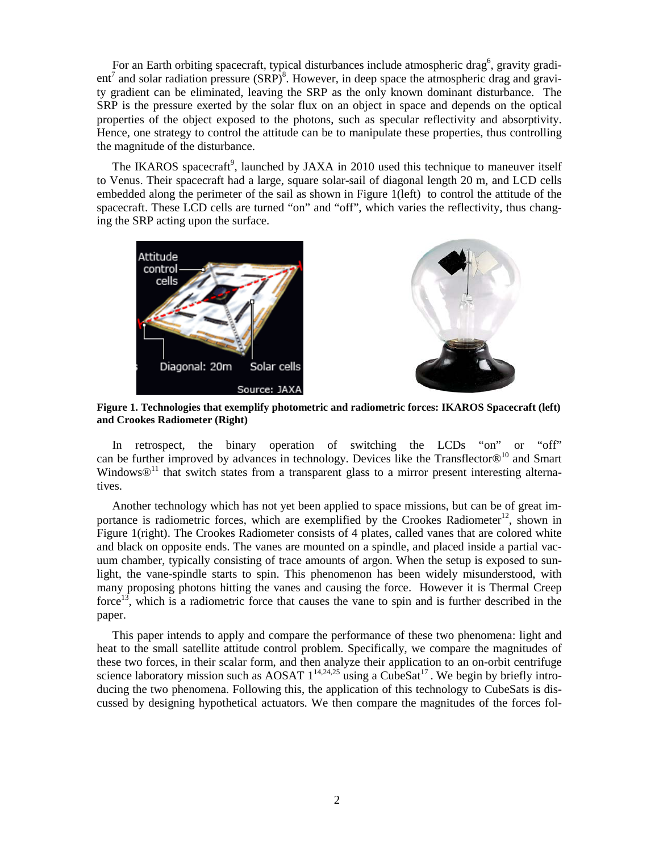For an Earth orbiting spacecraft, typical disturbances include atmospheric drag<sup>6</sup>, gravity gradient<sup>7</sup> and solar radiation pressure  $(SRP)^8$ . However, in deep space the atmospheric drag and gravity gradient can be eliminated, leaving the SRP as the only known dominant disturbance. The SRP is the pressure exerted by the solar flux on an object in space and depends on the optical properties of the object exposed to the photons, such as specular reflectivity and absorptivity. Hence, one strategy to control the attitude can be to manipulate these properties, thus controlling the magnitude of the disturbance.

The IKAROS spacecraft<sup>9</sup>, launched by JAXA in 2010 used this technique to maneuver itself to Venus. Their spacecraft had a large, square solar-sail of diagonal length 20 m, and LCD cells embedded along the perimeter of the sail as shown in Figure 1(left) to control the attitude of the spacecraft. These LCD cells are turned "on" and "off", which varies the reflectivity, thus changing the SRP acting upon the surface.





**Figure 1. Technologies that exemplify photometric and radiometric forces: IKAROS Spacecraft (left) and Crookes Radiometer (Right)**

In retrospect, the binary operation of switching the LCDs "on" or "off" can be further improved by advances in technology. Devices like the Transflector $\mathcal{D}^{10}$  and Smart Windows $\mathcal{D}^{11}$  that switch states from a transparent glass to a mirror present interesting alternatives.

Another technology which has not yet been applied to space missions, but can be of great importance is radiometric forces, which are exemplified by the Crookes Radiometer<sup>12</sup>, shown in Figure 1(right). The Crookes Radiometer consists of 4 plates, called vanes that are colored white and black on opposite ends. The vanes are mounted on a spindle, and placed inside a partial vacuum chamber, typically consisting of trace amounts of argon. When the setup is exposed to sunlight, the vane-spindle starts to spin. This phenomenon has been widely misunderstood, with many proposing photons hitting the vanes and causing the force. However it is Thermal Creep force<sup>13</sup>, which is a radiometric force that causes the vane to spin and is further described in the paper.

This paper intends to apply and compare the performance of these two phenomena: light and heat to the small satellite attitude control problem. Specifically, we compare the magnitudes of these two forces, in their scalar form, and then analyze their application to an on-orbit centrifuge science laboratory mission such as AOSAT  $1^{14,24,25}$  using a CubeSat<sup>17</sup>. We begin by briefly introducing the two phenomena. Following this, the application of this technology to CubeSats is discussed by designing hypothetical actuators. We then compare the magnitudes of the forces fol-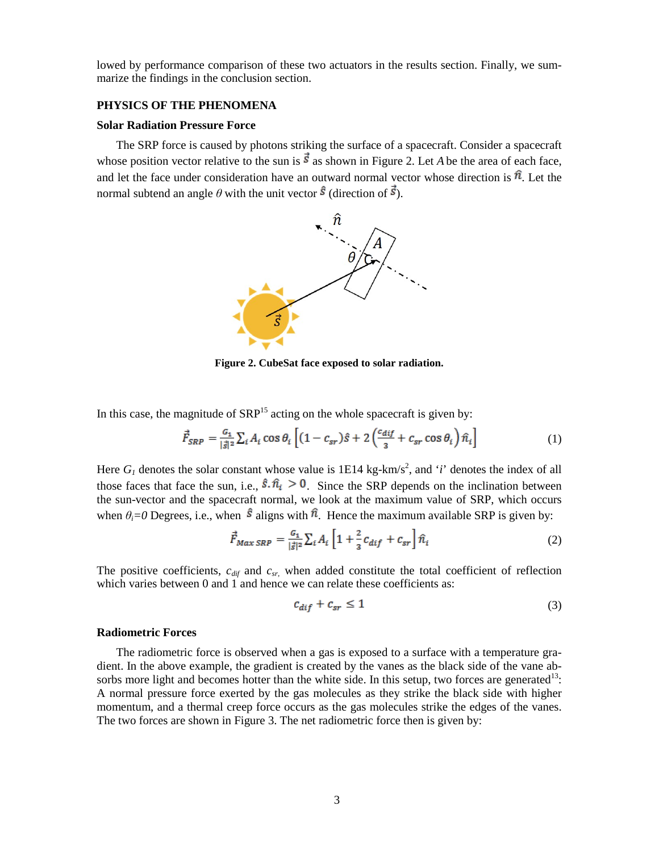lowed by performance comparison of these two actuators in the results section. Finally, we summarize the findings in the conclusion section.

## **PHYSICS OF THE PHENOMENA**

#### **Solar Radiation Pressure Force**

The SRP force is caused by photons striking the surface of a spacecraft. Consider a spacecraft whose position vector relative to the sun is  $\vec{s}$  as shown in Figure 2. Let *A* be the area of each face, and let the face under consideration have an outward normal vector whose direction is  $\hat{\pi}$ . Let the normal subtend an angle  $\theta$  with the unit vector  $\hat{S}$  (direction of  $\vec{S}$ ).



**Figure 2. CubeSat face exposed to solar radiation.**

In this case, the magnitude of  $SRP<sup>15</sup>$  acting on the whole spacecraft is given by:

$$
\vec{F}_{SRP} = \frac{G_1}{|\vec{s}|^2} \sum_i A_i \cos \theta_i \left[ (1 - c_{sr})\hat{s} + 2 \left( \frac{c_{dif}}{3} + c_{sr} \cos \theta_i \right) \hat{n}_i \right]
$$
(1)

Here  $G_l$  denotes the solar constant whose value is 1E14 kg-km/s<sup>2</sup>, and '*i*' denotes the index of all those faces that face the sun, i.e.,  $\hat{\mathbf{s}} \cdot \hat{n_i} > 0$ . Since the SRP depends on the inclination between the sun-vector and the spacecraft normal, we look at the maximum value of SRP, which occurs when  $\theta_i = 0$  Degrees, i.e., when  $\hat{\mathbf{s}}$  aligns with  $\hat{\mathbf{n}}$ . Hence the maximum available SRP is given by:

$$
\vec{F}_{Max\,SRP} = \frac{G_1}{|\vec{s}|^2} \sum_i A_i \left[ 1 + \frac{2}{3} c_{dif} + c_{sr} \right] \hat{n}_i \tag{2}
$$

The positive coefficients,  $c_{dif}$  and  $c_{sr}$ , when added constitute the total coefficient of reflection which varies between 0 and 1 and hence we can relate these coefficients as:

$$
c_{dif} + c_{sr} \le 1\tag{3}
$$

#### **Radiometric Forces**

The radiometric force is observed when a gas is exposed to a surface with a temperature gradient. In the above example, the gradient is created by the vanes as the black side of the vane absorbs more light and becomes hotter than the white side. In this setup, two forces are generated<sup>13</sup>: A normal pressure force exerted by the gas molecules as they strike the black side with higher momentum, and a thermal creep force occurs as the gas molecules strike the edges of the vanes. The two forces are shown in Figure 3. The net radiometric force then is given by: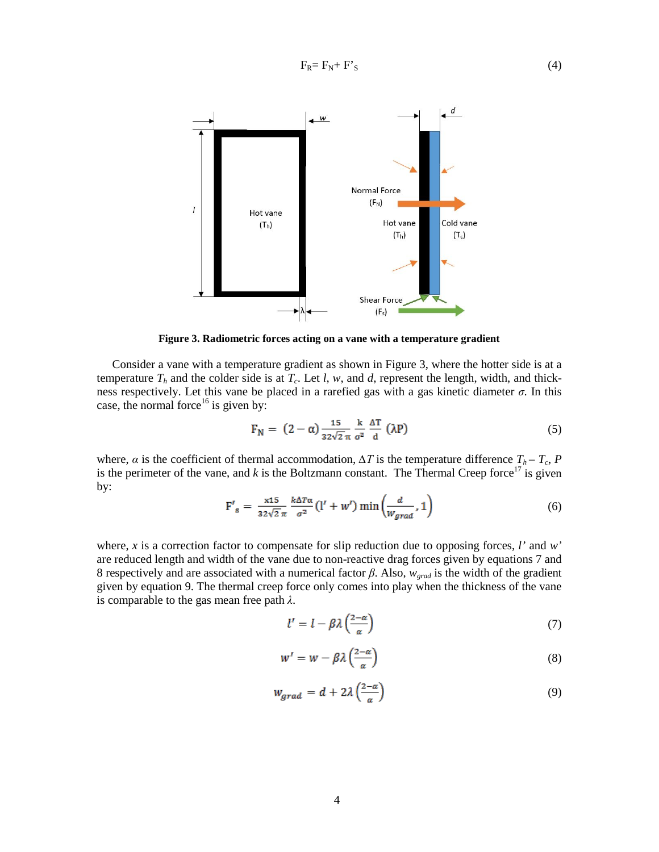$F_R = F_N + F'_{S}$  (4)



**Figure 3. Radiometric forces acting on a vane with a temperature gradient**

Consider a vane with a temperature gradient as shown in Figure 3, where the hotter side is at a temperature  $T_h$  and the colder side is at  $T_c$ . Let *l*, *w*, and *d*, represent the length, width, and thickness respectively. Let this vane be placed in a rarefied gas with a gas kinetic diameter *σ*. In this case, the normal force<sup>16</sup> is given by:

$$
F_N = (2 - \alpha) \frac{15}{32\sqrt{2}\pi} \frac{k}{\sigma^2} \frac{\Delta T}{d} (\lambda P)
$$
 (5)

where,  $\alpha$  is the coefficient of thermal accommodation,  $\Delta T$  is the temperature difference  $T_h - T_c$ , *P* is the perimeter of the vane, and  $k$  is the Boltzmann constant. The Thermal Creep force<sup>17</sup> is given by:

$$
F'_{s} = \frac{x^{15}}{32\sqrt{2}\pi} \frac{k\Delta T\alpha}{\sigma^2} (l' + w') \min\left(\frac{d}{W_{grad}}, 1\right)
$$
 (6)

where, *x* is a correction factor to compensate for slip reduction due to opposing forces, *l'* and *w'* are reduced length and width of the vane due to non-reactive drag forces given by equations 7 and 8 respectively and are associated with a numerical factor *β*. Also, *wgrad* is the width of the gradient given by equation 9. The thermal creep force only comes into play when the thickness of the vane is comparable to the gas mean free path *λ*.

$$
l' = l - \beta \lambda \left(\frac{2-\alpha}{\alpha}\right) \tag{7}
$$

$$
w' = w - \beta \lambda \left(\frac{2-\alpha}{\alpha}\right) \tag{8}
$$

$$
W_{grad} = d + 2\lambda \left(\frac{2-\alpha}{\alpha}\right) \tag{9}
$$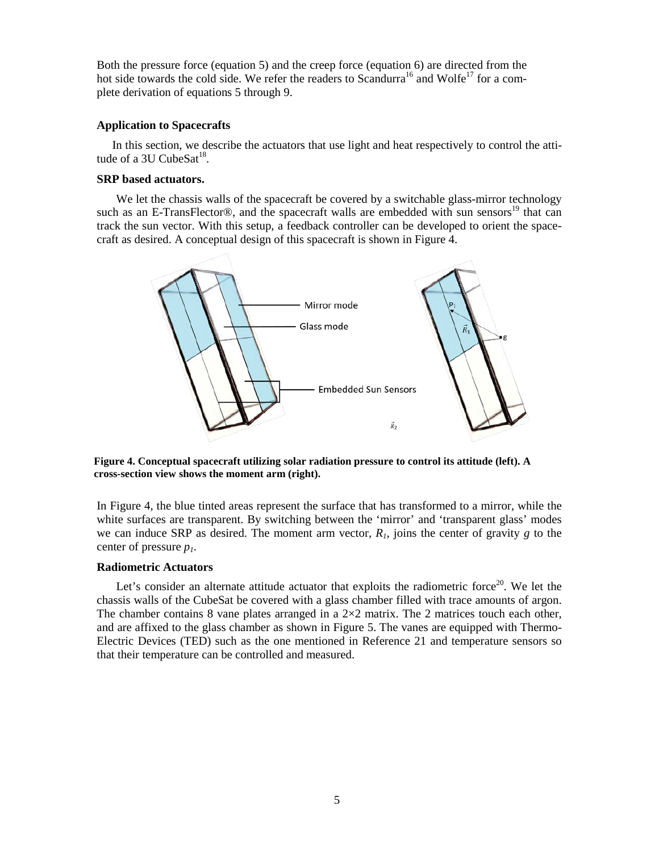Both the pressure force (equation 5) and the creep force (equation 6) are directed from the hot side towards the cold side. We refer the readers to Scandurra<sup>16</sup> and Wolfe<sup>17</sup> for a complete derivation of equations 5 through 9.

### **Application to Spacecrafts**

In this section, we describe the actuators that use light and heat respectively to control the attitude of a 3U CubeSat $^{18}$ .

## **SRP based actuators.**

We let the chassis walls of the spacecraft be covered by a switchable glass-mirror technology such as an E-TransFlector®, and the spacecraft walls are embedded with sun sensors<sup>19</sup> that can track the sun vector. With this setup, a feedback controller can be developed to orient the spacecraft as desired. A conceptual design of this spacecraft is shown in Figure 4.



**Figure 4. Conceptual spacecraft utilizing solar radiation pressure to control its attitude (left). A cross-section view shows the moment arm (right).**

In Figure 4, the blue tinted areas represent the surface that has transformed to a mirror, while the white surfaces are transparent. By switching between the 'mirror' and 'transparent glass' modes we can induce SRP as desired. The moment arm vector,  $R<sub>1</sub>$ , joins the center of gravity  $g$  to the center of pressure *p1*.

## **Radiometric Actuators**

Let's consider an alternate attitude actuator that exploits the radiometric force<sup>20</sup>. We let the chassis walls of the CubeSat be covered with a glass chamber filled with trace amounts of argon. The chamber contains 8 vane plates arranged in a  $2\times 2$  matrix. The 2 matrices touch each other, and are affixed to the glass chamber as shown in Figure 5. The vanes are equipped with Thermo-Electric Devices (TED) such as the one mentioned in Reference 21 and temperature sensors so that their temperature can be controlled and measured.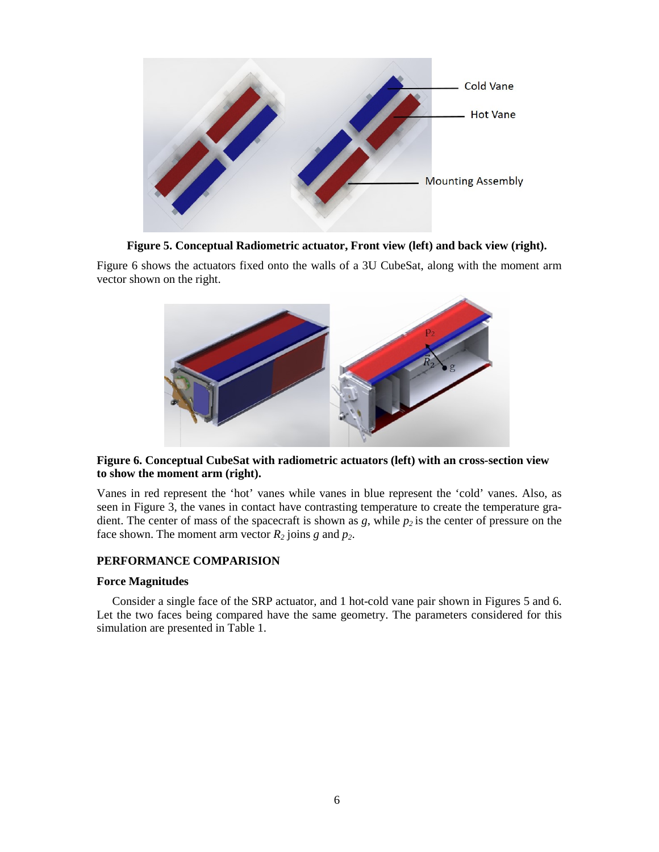

**Figure 5. Conceptual Radiometric actuator, Front view (left) and back view (right).**

Figure 6 shows the actuators fixed onto the walls of a 3U CubeSat, along with the moment arm vector shown on the right.



## **Figure 6. Conceptual CubeSat with radiometric actuators (left) with an cross-section view to show the moment arm (right).**

Vanes in red represent the 'hot' vanes while vanes in blue represent the 'cold' vanes. Also, as seen in Figure 3, the vanes in contact have contrasting temperature to create the temperature gradient. The center of mass of the spacecraft is shown as  $g$ , while  $p_2$  is the center of pressure on the face shown. The moment arm vector  $R_2$  joins  $g$  and  $p_2$ .

## **PERFORMANCE COMPARISION**

## **Force Magnitudes**

Consider a single face of the SRP actuator, and 1 hot-cold vane pair shown in Figures 5 and 6. Let the two faces being compared have the same geometry. The parameters considered for this simulation are presented in Table 1.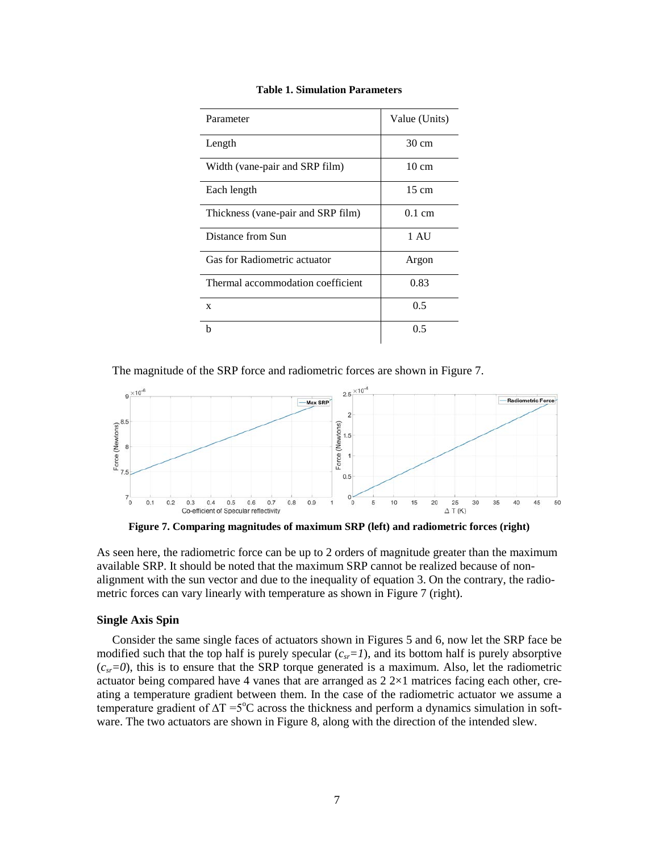| Parameter                          | Value (Units)    |
|------------------------------------|------------------|
| Length                             | $30 \text{ cm}$  |
| Width (vane-pair and SRP film)     | $10 \text{ cm}$  |
| Each length                        | $15 \text{ cm}$  |
| Thickness (vane-pair and SRP film) | $0.1 \text{ cm}$ |
| Distance from Sun                  | 1 AU             |
| Gas for Radiometric actuator       | Argon            |
| Thermal accommodation coefficient  | 0.83             |
| X                                  | 0.5              |
| h                                  | 0.5              |

#### **Table 1. Simulation Parameters**

The magnitude of the SRP force and radiometric forces are shown in Figure 7.



**Figure 7. Comparing magnitudes of maximum SRP (left) and radiometric forces (right)**

As seen here, the radiometric force can be up to 2 orders of magnitude greater than the maximum available SRP. It should be noted that the maximum SRP cannot be realized because of nonalignment with the sun vector and due to the inequality of equation 3. On the contrary, the radiometric forces can vary linearly with temperature as shown in Figure 7 (right).

## **Single Axis Spin**

Consider the same single faces of actuators shown in Figures 5 and 6, now let the SRP face be modified such that the top half is purely specular  $(c_{sr}=1)$ , and its bottom half is purely absorptive  $(c<sub>sr</sub>=0)$ , this is to ensure that the SRP torque generated is a maximum. Also, let the radiometric actuator being compared have 4 vanes that are arranged as 2 2×1 matrices facing each other, creating a temperature gradient between them. In the case of the radiometric actuator we assume a temperature gradient of  $\Delta T = 5^{\circ}C$  across the thickness and perform a dynamics simulation in software. The two actuators are shown in Figure 8, along with the direction of the intended slew.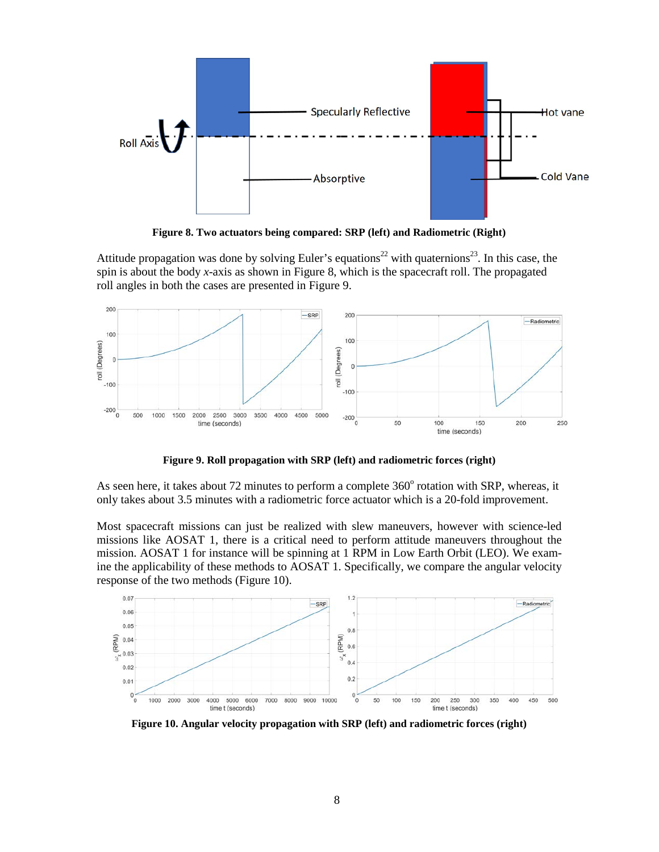

**Figure 8. Two actuators being compared: SRP (left) and Radiometric (Right)**

Attitude propagation was done by solving Euler's equations<sup>22</sup> with quaternions<sup>23</sup>. In this case, the spin is about the body *x*-axis as shown in Figure 8, which is the spacecraft roll. The propagated roll angles in both the cases are presented in Figure 9.



**Figure 9. Roll propagation with SRP (left) and radiometric forces (right)**

As seen here, it takes about 72 minutes to perform a complete  $360^{\circ}$  rotation with SRP, whereas, it only takes about 3.5 minutes with a radiometric force actuator which is a 20-fold improvement.

Most spacecraft missions can just be realized with slew maneuvers, however with science-led missions like AOSAT 1, there is a critical need to perform attitude maneuvers throughout the mission. AOSAT 1 for instance will be spinning at 1 RPM in Low Earth Orbit (LEO). We examine the applicability of these methods to AOSAT 1. Specifically, we compare the angular velocity response of the two methods (Figure 10).



**Figure 10. Angular velocity propagation with SRP (left) and radiometric forces (right)**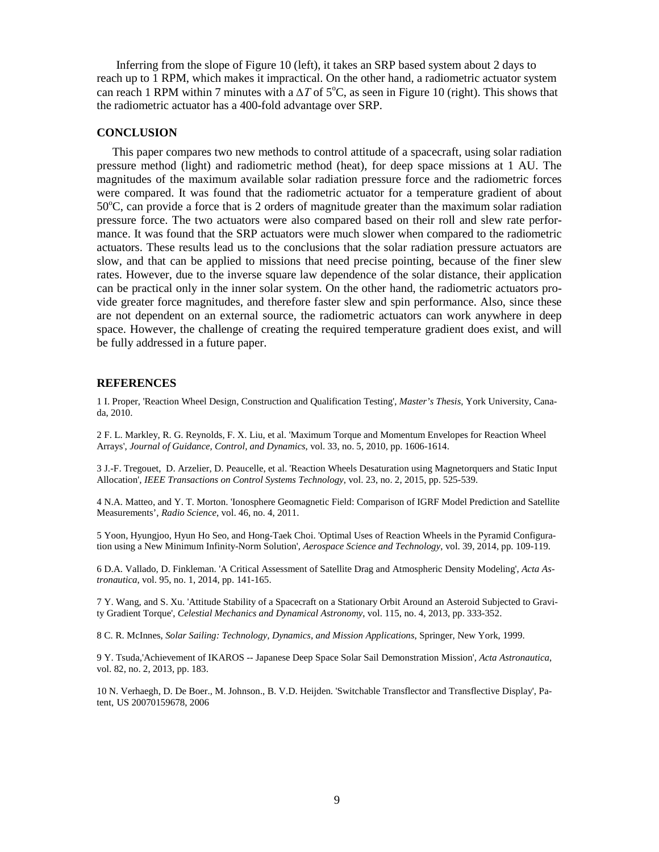Inferring from the slope of Figure 10 (left), it takes an SRP based system about 2 days to reach up to 1 RPM, which makes it impractical. On the other hand, a radiometric actuator system can reach 1 RPM within 7 minutes with a  $\Delta T$  of 5°C, as seen in Figure 10 (right). This shows that the radiometric actuator has a 400-fold advantage over SRP.

### **CONCLUSION**

This paper compares two new methods to control attitude of a spacecraft, using solar radiation pressure method (light) and radiometric method (heat), for deep space missions at 1 AU. The magnitudes of the maximum available solar radiation pressure force and the radiometric forces were compared. It was found that the radiometric actuator for a temperature gradient of about 50°C, can provide a force that is 2 orders of magnitude greater than the maximum solar radiation pressure force. The two actuators were also compared based on their roll and slew rate performance. It was found that the SRP actuators were much slower when compared to the radiometric actuators. These results lead us to the conclusions that the solar radiation pressure actuators are slow, and that can be applied to missions that need precise pointing, because of the finer slew rates. However, due to the inverse square law dependence of the solar distance, their application can be practical only in the inner solar system. On the other hand, the radiometric actuators provide greater force magnitudes, and therefore faster slew and spin performance. Also, since these are not dependent on an external source, the radiometric actuators can work anywhere in deep space. However, the challenge of creating the required temperature gradient does exist, and will be fully addressed in a future paper.

#### **REFERENCES**

1 I. Proper, 'Reaction Wheel Design, Construction and Qualification Testing', *Master's Thesis*, York University, Canada, 2010.

2 F. L. Markley, R. G. Reynolds, F. X. Liu, et al. 'Maximum Torque and Momentum Envelopes for Reaction Wheel Arrays', *Journal of Guidance, Control, and Dynamics*, vol. 33, no. 5, 2010, pp. 1606-1614.

3 J.-F. Tregouet, D. Arzelier, D. Peaucelle, et al. 'Reaction Wheels Desaturation using Magnetorquers and Static Input Allocation', *IEEE Transactions on Control Systems Technology*, vol. 23, no. 2, 2015, pp. 525-539.

4 N.A. Matteo, and Y. T. Morton. 'Ionosphere Geomagnetic Field: Comparison of IGRF Model Prediction and Satellite Measurements', *Radio Science*, vol. 46, no. 4, 2011.

5 Yoon, Hyungjoo, Hyun Ho Seo, and Hong-Taek Choi. 'Optimal Uses of Reaction Wheels in the Pyramid Configuration using a New Minimum Infinity-Norm Solution', *Aerospace Science and Technology*, vol. 39, 2014, pp. 109-119.

6 D.A. Vallado, D. Finkleman. 'A Critical Assessment of Satellite Drag and Atmospheric Density Modeling', *Acta Astronautica*, vol. 95, no. 1, 2014, pp. 141-165.

7 Y. Wang, and S. Xu. 'Attitude Stability of a Spacecraft on a Stationary Orbit Around an Asteroid Subjected to Gravity Gradient Torque', *Celestial Mechanics and Dynamical Astronomy*, vol. 115, no. 4, 2013, pp. 333-352.

8 C. R. McInnes, *Solar Sailing: Technology, Dynamics, and Mission Applications*, Springer, New York, 1999.

9 Y. Tsuda,'Achievement of IKAROS -- Japanese Deep Space Solar Sail Demonstration Mission', *Acta Astronautica*, vol. 82, no. 2, 2013, pp. 183.

10 N. Verhaegh, D. De Boer., M. Johnson., B. V.D. Heijden. 'Switchable Transflector and Transflective Display', Patent, US 20070159678, 2006